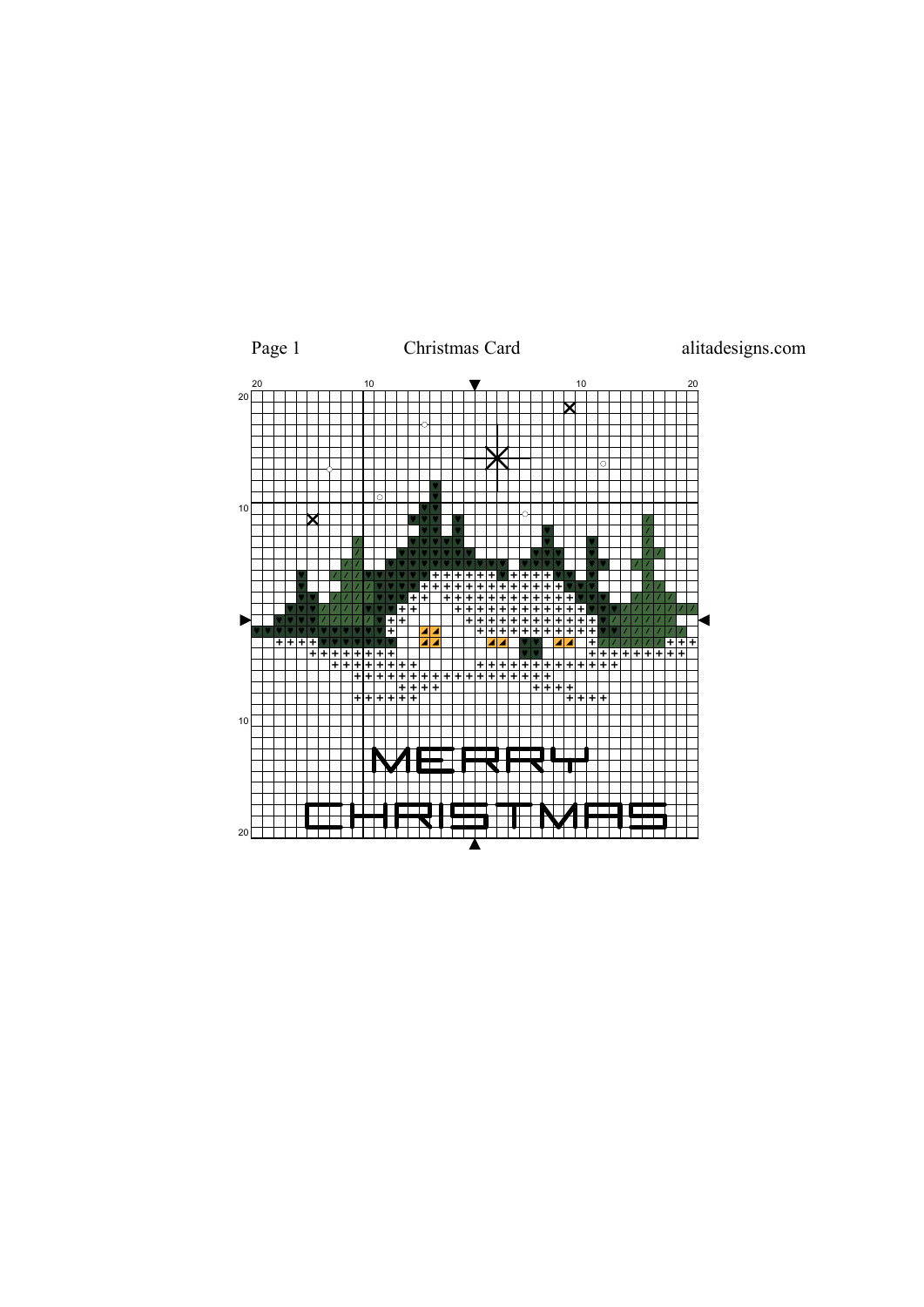